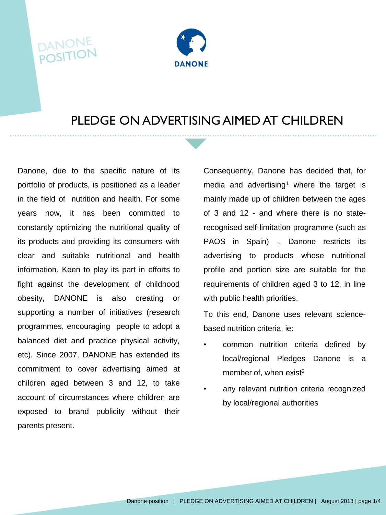## **DANONI**<br>POSITIO



## PLEDGE ON ADVERTISING AIMED AT CHILDREN

Danone, due to the specific nature of its portfolio of products, is positioned as a leader in the field of nutrition and health. For some years now, it has been committed to constantly optimizing the nutritional quality of its products and providing its consumers with clear and suitable nutritional and health information. Keen to play its part in efforts to fight against the development of childhood obesity, DANONE is also creating or supporting a number of initiatives (research programmes, encouraging people to adopt a balanced diet and practice physical activity, etc). Since 2007, DANONE has extended its commitment to cover advertising aimed at children aged between 3 and 12, to take account of circumstances where children are exposed to brand publicity without their parents present.

Consequently, Danone has decided that, for media and advertising<sup>1</sup> where the target is mainly made up of children between the ages of 3 and 12 - and where there is no staterecognised self-limitation programme (such as PAOS in Spain) -, Danone restricts its advertising to products whose nutritional profile and portion size are suitable for the requirements of children aged 3 to 12, in line with public health priorities.

To this end, Danone uses relevant sciencebased nutrition criteria, ie:

- common nutrition criteria defined by local/regional Pledges Danone is a member of, when exist<sup>2</sup>
- any relevant nutrition criteria recognized by local/regional authorities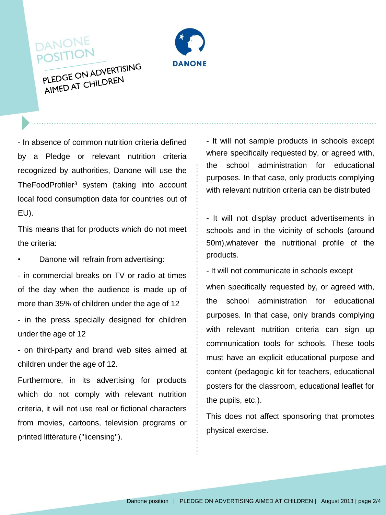

PLEDGE ON ADVERTISING PLEDGE ON ALLY EN

DANONE POSITION

- In absence of common nutrition criteria defined by a Pledge or relevant nutrition criteria recognized by authorities, Danone will use the TheFoodProfiler<sup>3</sup> system (taking into account local food consumption data for countries out of EU).

This means that for products which do not meet the criteria:

• Danone will refrain from advertising:

- in commercial breaks on TV or radio at times of the day when the audience is made up of more than 35% of children under the age of 12

- in the press specially designed for children under the age of 12

- on third-party and brand web sites aimed at children under the age of 12.

Furthermore, in its advertising for products which do not comply with relevant nutrition criteria, it will not use real or fictional characters from movies, cartoons, television programs or printed littérature ("licensing").

- It will not sample products in schools except where specifically requested by, or agreed with, the school administration for educational purposes. In that case, only products complying with relevant nutrition criteria can be distributed

- It will not display product advertisements in schools and in the vicinity of schools (around 50m),whatever the nutritional profile of the products.

- It will not communicate in schools except

when specifically requested by, or agreed with, the school administration for educational purposes. In that case, only brands complying with relevant nutrition criteria can sign up communication tools for schools. These tools must have an explicit educational purpose and content (pedagogic kit for teachers, educational posters for the classroom, educational leaflet for the pupils, etc.).

This does not affect sponsoring that promotes physical exercise.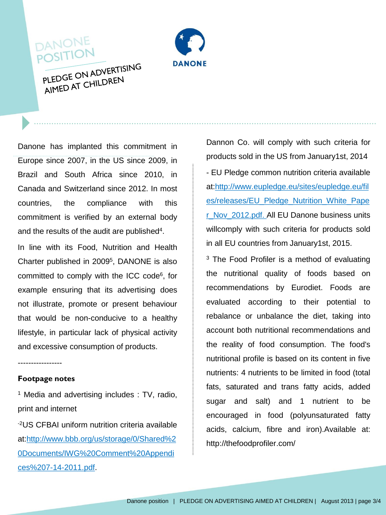



PLEDGE ON ADVERTISING PLEDGE ON ALLY FIREN

Danone has implanted this commitment in Europe since 2007, in the US since 2009, in Brazil and South Africa since 2010, in Canada and Switzerland since 2012. In most countries, the compliance with this commitment is verified by an external body and the results of the audit are published<sup>4</sup>.

In line with its Food, Nutrition and Health Charter published in 2009<sup>5</sup> , DANONE is also committed to comply with the ICC code<sup>6</sup>, for example ensuring that its advertising does not illustrate, promote or present behaviour that would be non-conducive to a healthy lifestyle, in particular lack of physical activity and excessive consumption of products.

-----------------

## **Footpage notes**

<sup>1</sup> Media and advertising includes : TV, radio, print and internet

-2US CFBAI uniform nutrition criteria available at:http://www.bbb.org/us/storage/0/Shared%2 0Documents/IWG%20Comment%20Appendi ces%207-14-2011.pdf.

Dannon Co. will comply with such criteria for products sold in the US from January1st, 2014 - EU Pledge common nutrition criteria available at:http://www.eupledge.eu/sites/eupledge.eu/fil es/releases/EU\_Pledge\_Nutrition\_White\_Pape r\_Nov\_2012.pdf. All EU Danone business units willcomply with such criteria for products sold in all EU countries from January1st, 2015.

<sup>3</sup> The Food Profiler is a method of evaluating the nutritional quality of foods based on recommendations by Eurodiet. Foods are evaluated according to their potential to rebalance or unbalance the diet, taking into account both nutritional recommendations and the reality of food consumption. The food's nutritional profile is based on its content in five nutrients: 4 nutrients to be limited in food (total fats, saturated and trans fatty acids, added sugar and salt) and 1 nutrient to be encouraged in food (polyunsaturated fatty acids, calcium, fibre and iron).Available at: http://thefoodprofiler.com/